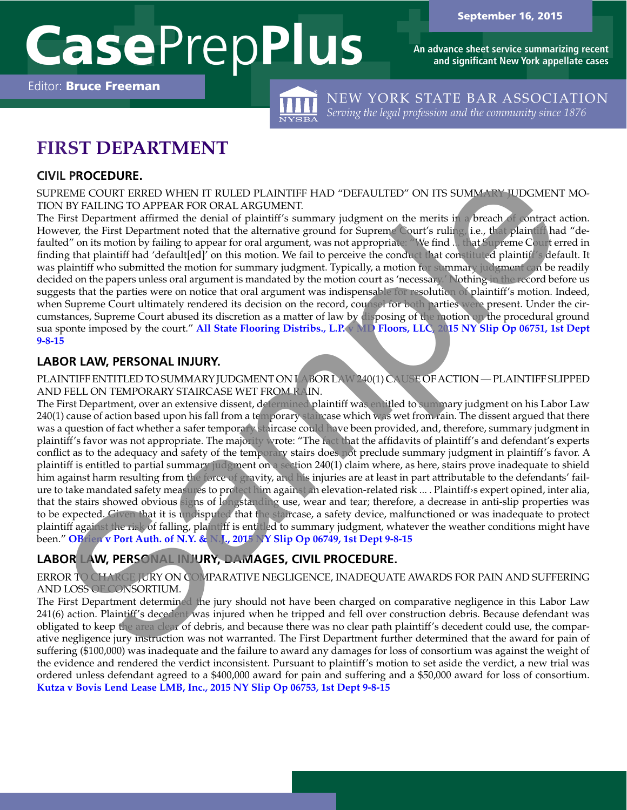**An advance sheet service summarizing recent and significant New York appellate cases**

Editor: Bruce Freeman



NEW YORK STATE BAR ASSOCIATION *Serving the legal profession and the community since 1876*

# **FIRST DEPARTMENT**

## **CIVIL PROCEDURE.**

SUPREME COURT ERRED WHEN IT RULED PLAINTIFF HAD "DEFAULTED" ON ITS SUMMARY JUDGMENT MO-TION BY FAILING TO APPEAR FOR ORAL ARGUMENT.

The First Department affirmed the denial of plaintiff's summary judgment on the merits in a breach of contract action. However, the First Department noted that the alternative ground for Supreme Court's ruling, i.e., that plaintiff had "defaulted" on its motion by failing to appear for oral argument, was not appropriate: "We find ... that Supreme Court erred in finding that plaintiff had 'default[ed]' on this motion. We fail to perceive the conduct that constituted plaintiff's default. It was plaintiff who submitted the motion for summary judgment. Typically, a motion for summary judgment can be readily decided on the papers unless oral argument is mandated by the motion court as 'necessary.' Nothing in the record before us suggests that the parties were on notice that oral argument was indispensable for resolution of plaintiff's motion. Indeed, when Supreme Court ultimately rendered its decision on the record, counsel for both parties were present. Under the circumstances, Supreme Court abused its discretion as a matter of law by disposing of the motion on the procedural ground sua sponte imposed by the court." **All State Flooring Distribs., L.P. v MD Floors, LLC, 2015 NY Slip Op 06751, 1st Dept [9-8-15](http://www.courts.state.ny.us/reporter/3dseries/2015/2015_06751.htm)**

### **LABOR LAW, PERSONAL INJURY.**

PLAINTIFF ENTITLED TO SUMMARY JUDGMENT ON LABOR LAW 240(1) CAUSE OF ACTION — PLAINTIFF SLIPPED AND FELL ON TEMPORARY STAIRCASE WET FROM RAIN.

The First Department, over an extensive dissent, determined plaintiff was entitled to summary judgment on his Labor Law 240(1) cause of action based upon his fall from a temporary staircase which was wet from rain. The dissent argued that there was a question of fact whether a safer temporary staircase could have been provided, and, therefore, summary judgment in plaintiff's favor was not appropriate. The majority wrote: "The fact that the affidavits of plaintiff's and defendant's experts conflict as to the adequacy and safety of the temporary stairs does not preclude summary judgment in plaintiff's favor. A plaintiff is entitled to partial summary judgment on a section 240(1) claim where, as here, stairs prove inadequate to shield him against harm resulting from the force of gravity, and his injuries are at least in part attributable to the defendants' failure to take mandated safety measures to protect him against an elevation-related risk ... . Plaintiff›s expert opined, inter alia, that the stairs showed obvious signs of longstanding use, wear and tear; therefore, a decrease in anti-slip properties was to be expected. Given that it is undisputed that the staircase, a safety device, malfunctioned or was inadequate to protect plaintiff against the risk of falling, plaintiff is entitled to summary judgment, whatever the weather conditions might have been." OBtien v Port Auth. of N.Y. & N.J., 2015 NY Slip Op 06749, 1st Dept 9-8-15 L PROCEDURE.<br>
THEN COLUITEENT RIVILE DELINITET HAD "DEFAULTED" ON ITS SUMMANEY IDENTIFY HAD COLUITEENT RIVILE TO APPEAR FOR ORAT INTERFERENCE ARE FOR CONTINUES THE THE DEPARTMENT of the Bready of the Department and the de

## **LABOR LAW, PERSONAL INJURY, DAMAGES, CIVIL PROCEDURE.**

#### ERROR TO CHARGE JURY ON COMPARATIVE NEGLIGENCE, INADEQUATE AWARDS FOR PAIN AND SUFFERING AND LOSS OF CONSORTIUM.

The First Department determined the jury should not have been charged on comparative negligence in this Labor Law 241(6) action. Plaintiff's decedent was injured when he tripped and fell over construction debris. Because defendant was obligated to keep the area clear of debris, and because there was no clear path plaintiff's decedent could use, the comparative negligence jury instruction was not warranted. The First Department further determined that the award for pain of suffering (\$100,000) was inadequate and the failure to award any damages for loss of consortium was against the weight of the evidence and rendered the verdict inconsistent. Pursuant to plaintiff's motion to set aside the verdict, a new trial was ordered unless defendant agreed to a \$400,000 award for pain and suffering and a \$50,000 award for loss of consortium. **[Kutza v Bovis Lend Lease LMB, Inc., 2015 NY Slip Op 06753, 1st Dept 9-8-15](http://www.courts.state.ny.us/reporter/3dseries/2015/2015_06753.htm)**